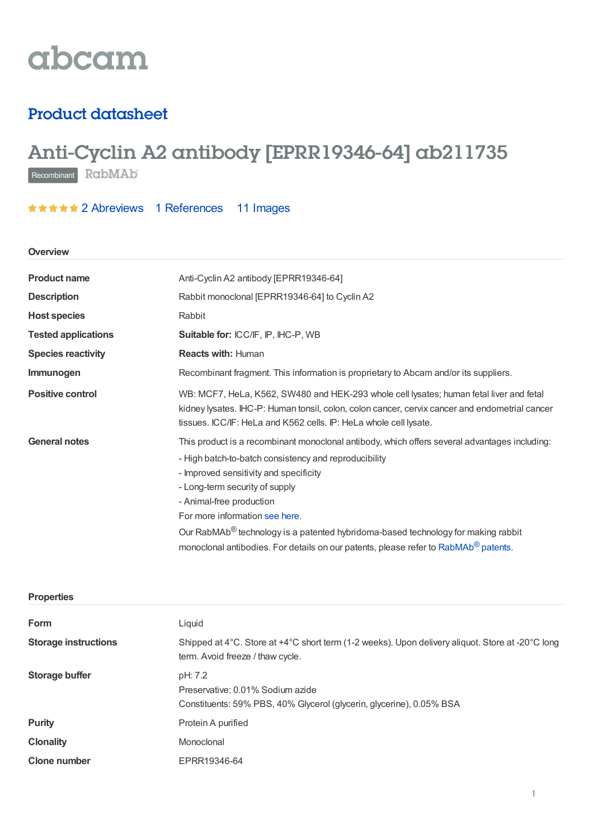

# Product datasheet

# Anti-Cyclin A2 antibody [EPRR19346-64] ab211735

Recombinant RabMAb

\*\*\*\*\* 2 [Abreviews](https://www.abcam.com/cyclin-a2-antibody-eprr19346-64-ab211735.html?productWallTab=Abreviews) 1 [References](https://www.abcam.com/cyclin-a2-antibody-eprr19346-64-ab211735.html#description_references) 11 Images

## **Overview**

| <b>Product name</b>        | Anti-Cyclin A2 antibody [EPRR19346-64]                                                                                                                                                                                                                                                                                                                                                                                                                                                               |
|----------------------------|------------------------------------------------------------------------------------------------------------------------------------------------------------------------------------------------------------------------------------------------------------------------------------------------------------------------------------------------------------------------------------------------------------------------------------------------------------------------------------------------------|
| <b>Description</b>         | Rabbit monoclonal [EPRR19346-64] to Cyclin A2                                                                                                                                                                                                                                                                                                                                                                                                                                                        |
| <b>Host species</b>        | Rabbit                                                                                                                                                                                                                                                                                                                                                                                                                                                                                               |
| <b>Tested applications</b> | <b>Suitable for: ICC/IF, IP, IHC-P, WB</b>                                                                                                                                                                                                                                                                                                                                                                                                                                                           |
| <b>Species reactivity</b>  | <b>Reacts with: Human</b>                                                                                                                                                                                                                                                                                                                                                                                                                                                                            |
| Immunogen                  | Recombinant fragment. This information is proprietary to Abcam and/or its suppliers.                                                                                                                                                                                                                                                                                                                                                                                                                 |
| <b>Positive control</b>    | WB: MCF7, HeLa, K562, SW480 and HEK-293 whole cell lysates; human fetal liver and fetal<br>kidney lysates. IHC-P: Human tonsil, colon, colon cancer, cervix cancer and endometrial cancer<br>tissues. ICC/IF: HeLa and K562 cells. IP: HeLa whole cell lysate.                                                                                                                                                                                                                                       |
| <b>General notes</b>       | This product is a recombinant monoclonal antibody, which offers several advantages including:<br>- High batch-to-batch consistency and reproducibility<br>- Improved sensitivity and specificity<br>- Long-term security of supply<br>- Animal-free production<br>For more information see here.<br>Our RabMAb <sup>®</sup> technology is a patented hybridoma-based technology for making rabbit<br>monoclonal antibodies. For details on our patents, please refer to RabMAb <sup>®</sup> patents. |

| <b>Properties</b>           |                                                                                                                                      |
|-----------------------------|--------------------------------------------------------------------------------------------------------------------------------------|
| Form                        | Liquid                                                                                                                               |
| <b>Storage instructions</b> | Shipped at 4°C. Store at +4°C short term (1-2 weeks). Upon delivery aliquot. Store at -20°C long<br>term. Avoid freeze / thaw cycle. |
| <b>Storage buffer</b>       | pH: 7.2<br>Preservative: 0.01% Sodium azide<br>Constituents: 59% PBS, 40% Glycerol (glycerin, glycerine), 0.05% BSA                  |
| <b>Purity</b>               | Protein A purified                                                                                                                   |
| <b>Clonality</b>            | Monoclonal                                                                                                                           |
| <b>Clone number</b>         | EPRR19346-64                                                                                                                         |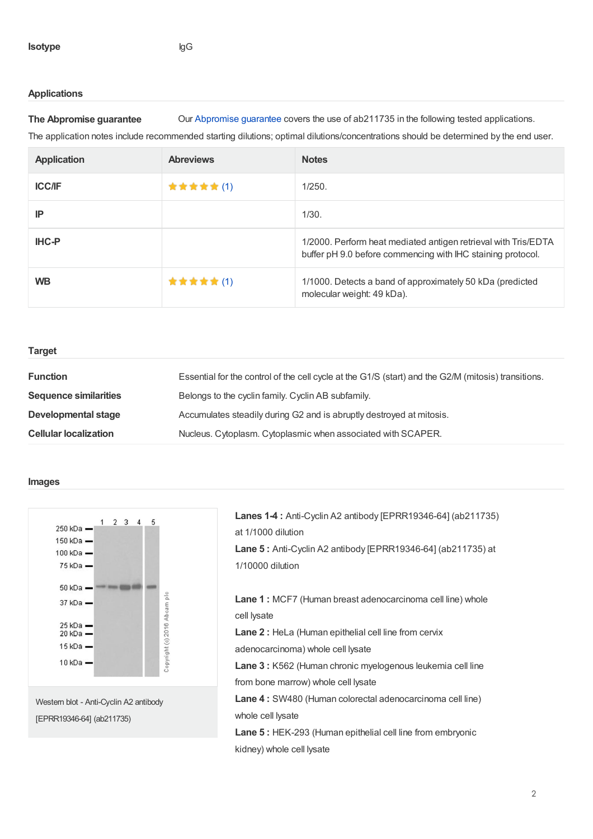# **Applications**

**The Abpromise guarantee** Our [Abpromise](https://www.abcam.com/abpromise) guarantee covers the use of ab211735 in the following tested applications.

The application notes include recommended starting dilutions; optimal dilutions/concentrations should be determined by the end user.

| <b>Application</b> | <b>Abreviews</b> | <b>Notes</b>                                                                                                                  |
|--------------------|------------------|-------------------------------------------------------------------------------------------------------------------------------|
| <b>ICC/IF</b>      | <b>★★★★★(1)</b>  | 1/250.                                                                                                                        |
| IP                 |                  | 1/30.                                                                                                                         |
| <b>IHC-P</b>       |                  | 1/2000. Perform heat mediated antigen retrieval with Tris/EDTA<br>buffer pH 9.0 before commencing with IHC staining protocol. |
| <b>WB</b>          | ★★★★★(1)         | 1/1000. Detects a band of approximately 50 kDa (predicted<br>molecular weight: 49 kDa).                                       |

## **Target**

| <b>Function</b>              | Essential for the control of the cell cycle at the G1/S (start) and the G2/M (mitosis) transitions. |
|------------------------------|-----------------------------------------------------------------------------------------------------|
| <b>Sequence similarities</b> | Belongs to the cyclin family. Cyclin AB subfamily.                                                  |
| Developmental stage          | Accumulates steadily during G2 and is abruptly destroyed at mitosis.                                |
| <b>Cellular localization</b> | Nucleus. Cytoplasm. Cytoplasmic when associated with SCAPER.                                        |

#### **Images**



Western blot - Anti-Cyclin A2 antibody [EPRR19346-64] (ab211735)

| <b>Lanes 1-4: Anti-Cyclin A2 antibody [EPRR19346-64] (ab211735)</b> |
|---------------------------------------------------------------------|
| at 1/1000 dilution                                                  |
| <b>Lane 5:</b> Anti-Cyclin A2 antibody [EPRR19346-64] (ab211735) at |
| 1/10000 dilution                                                    |
|                                                                     |
| Lane 1: MCF7 (Human breast adenocarcinoma cell line) whole          |
| cell lysate                                                         |
| <b>Lane 2:</b> HeLa (Human epithelial cell line from cervix         |
| adenocarcinoma) whole cell lysate                                   |
| <b>Lane 3: K562 (Human chronic myelogenous leukemia cell line</b>   |
| from bone marrow) whole cell lysate                                 |
| <b>Lane 4:</b> SW480 (Human colorectal adenocarcinoma cell line)    |
| whole cell lysate                                                   |
| <b>Lane 5: HEK-293 (Human epithelial cell line from embryonic</b>   |
| kidney) whole cell lysate                                           |
|                                                                     |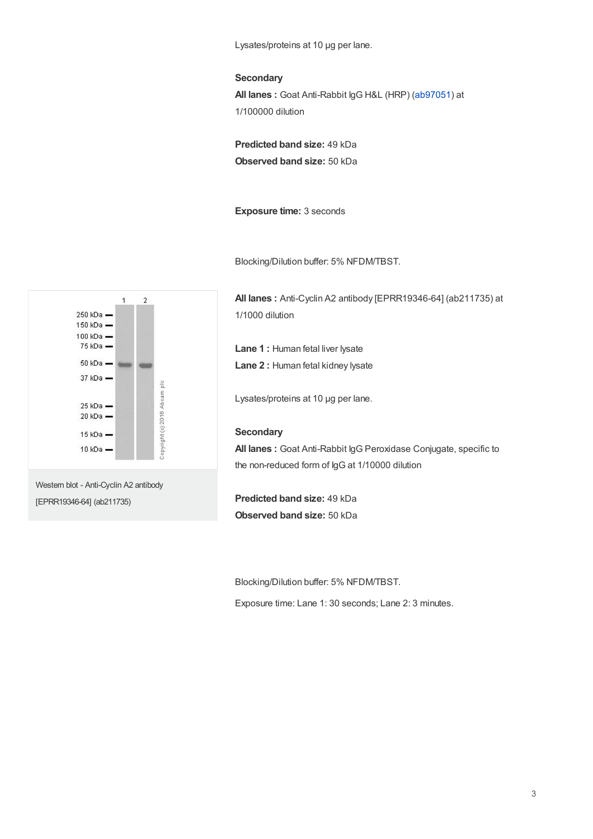Lysates/proteins at 10 µg per lane.

#### **Secondary**

**All lanes :** Goat Anti-Rabbit IgG H&L (HRP) [\(ab97051](https://www.abcam.com/ab97051.html)) at 1/100000 dilution

**Predicted band size:** 49 kDa **Observed band size:** 50 kDa

**Exposure time:** 3 seconds

Blocking/Dilution buffer: 5% NFDM/TBST.

**All lanes :** Anti-Cyclin A2 antibody [EPRR19346-64] (ab211735) at 1/1000 dilution

**Lane 1 :** Human fetal liver lysate

**Lane 2 :** Human fetal kidney lysate

Lysates/proteins at 10 µg per lane.

# **Secondary**

**All lanes :** Goat Anti-Rabbit IgG Peroxidase Conjugate, specific to the non-reduced form of IgG at 1/10000 dilution

**Predicted band size:** 49 kDa **Observed band size:** 50 kDa

Blocking/Dilution buffer: 5% NFDM/TBST.

Exposure time: Lane 1: 30 seconds; Lane 2: 3 minutes.



Western blot - Anti-Cyclin A2 antibody [EPRR19346-64] (ab211735)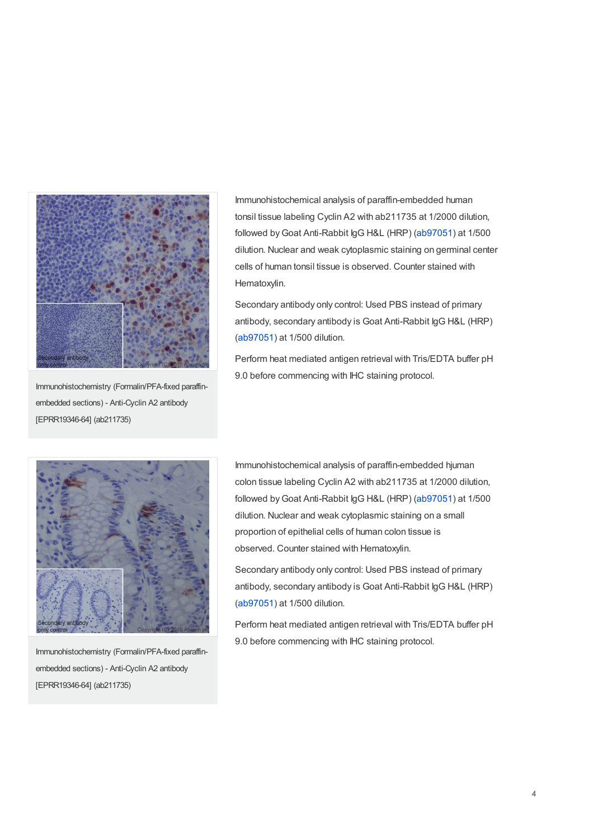

Immunohistochemistry (Formalin/PFA-fixed paraffinembedded sections) - Anti-Cyclin A2 antibody [EPRR19346-64] (ab211735)

Immunohistochemical analysis of paraffin-embedded human tonsil tissue labeling Cyclin A2 with ab211735 at 1/2000 dilution, followed by Goat Anti-Rabbit IgG H&L (HRP) [\(ab97051](https://www.abcam.com/ab97051.html)) at 1/500 dilution. Nuclear and weak cytoplasmic staining on germinal center cells of human tonsil tissue is observed. Counter stained with Hematoxylin.

Secondary antibody only control: Used PBS instead of primary antibody, secondary antibody is Goat Anti-Rabbit IgG H&L (HRP) ([ab97051](https://www.abcam.com/ab97051.html)) at 1/500 dilution.

Perform heat mediated antigen retrieval with Tris/EDTA buffer pH 9.0 before commencing with IHC staining protocol.



Immunohistochemistry (Formalin/PFA-fixed paraffinembedded sections) - Anti-Cyclin A2 antibody [EPRR19346-64] (ab211735)

Immunohistochemical analysis of paraffin-embedded hjuman colon tissue labeling Cyclin A2 with ab211735 at 1/2000 dilution, followed byGoat Anti-Rabbit IgG H&L (HRP) [\(ab97051](https://www.abcam.com/ab97051.html)) at 1/500 dilution. Nuclear and weak cytoplasmic staining on a small proportion of epithelial cells of human colon tissue is observed. Counter stained with Hematoxylin.

Secondary antibody only control: Used PBS instead of primary antibody, secondary antibody is Goat Anti-Rabbit IgG H&L (HRP) ([ab97051](https://www.abcam.com/ab97051.html)) at 1/500 dilution.

Perform heat mediated antigen retrieval with Tris/EDTA buffer pH 9.0 before commencing with IHC staining protocol.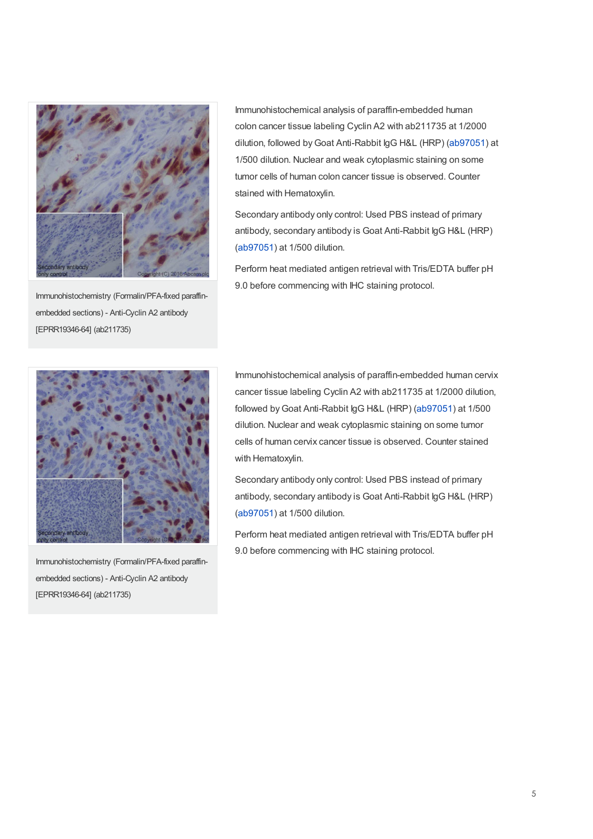

Immunohistochemistry (Formalin/PFA-fixed paraffinembedded sections) - Anti-Cyclin A2 antibody [EPRR19346-64] (ab211735)

Immunohistochemical analysis of paraffin-embedded human colon cancer tissue labeling Cyclin A2 with ab211735 at 1/2000 dilution, followed byGoat Anti-Rabbit IgG H&L (HRP) [\(ab97051](https://www.abcam.com/ab97051.html)) at 1/500 dilution. Nuclear and weak cytoplasmic staining on some tumor cells of human colon cancer tissue is observed. Counter stained with Hematoxylin.

Secondary antibody only control: Used PBS instead of primary antibody, secondary antibody is Goat Anti-Rabbit IgG H&L (HRP) ([ab97051](https://www.abcam.com/ab97051.html)) at 1/500 dilution.

Perform heat mediated antigen retrieval with Tris/EDTA buffer pH 9.0 before commencing with IHC staining protocol.



Immunohistochemistry (Formalin/PFA-fixed paraffinembedded sections) - Anti-Cyclin A2 antibody [EPRR19346-64] (ab211735)

Immunohistochemical analysis of paraffin-embedded human cervix cancer tissue labeling Cyclin A2 with ab211735 at 1/2000 dilution, followed by Goat Anti-Rabbit IgG H&L (HRP) [\(ab97051](https://www.abcam.com/ab97051.html)) at 1/500 dilution. Nuclear and weak cytoplasmic staining on some tumor cells of human cervix cancer tissue is observed. Counter stained with Hematoxylin.

Secondary antibody only control: Used PBS instead of primary antibody, secondary antibody is Goat Anti-Rabbit IgG H&L (HRP) ([ab97051](https://www.abcam.com/ab97051.html)) at 1/500 dilution.

Perform heat mediated antigen retrieval with Tris/EDTA buffer pH 9.0 before commencing with IHC staining protocol.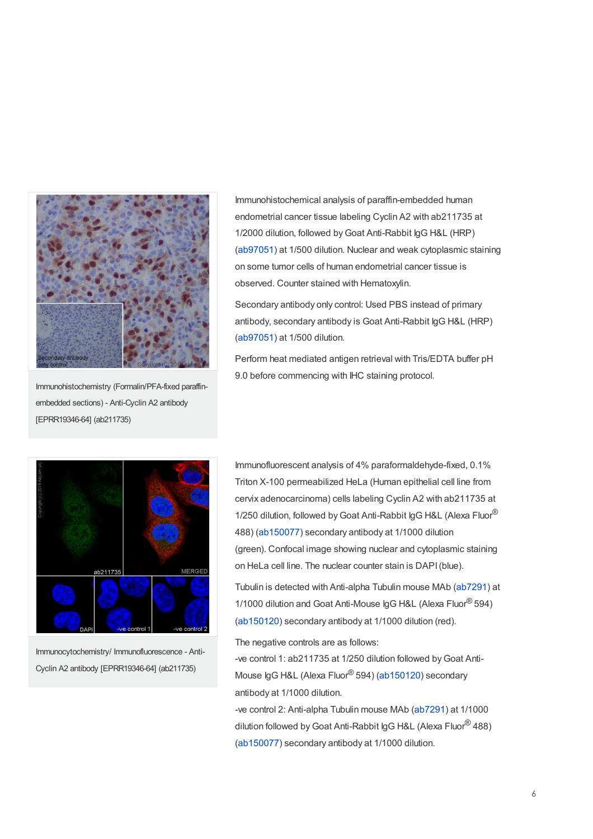

Immunohistochemistry (Formalin/PFA-fixed paraffinembedded sections) - Anti-Cyclin A2 antibody [EPRR19346-64] (ab211735)

Immunohistochemical analysis of paraffin-embedded human endometrial cancer tissue labeling Cyclin A2 with ab211735 at 1/2000 dilution, followed by Goat Anti-Rabbit IgG H&L (HRP) ([ab97051](https://www.abcam.com/ab97051.html)) at 1/500 dilution. Nuclear and weak cytoplasmic staining on some tumor cells of human endometrial cancer tissue is observed. Counter stained with Hematoxylin.

Secondary antibody only control: Used PBS instead of primary antibody, secondary antibody is Goat Anti-Rabbit IgG H&L (HRP) ([ab97051](https://www.abcam.com/ab97051.html)) at 1/500 dilution.

Perform heat mediated antigen retrieval with Tris/EDTA buffer pH 9.0 before commencing with IHC staining protocol.



Immunocytochemistry/ Immunofluorescence - Anti-Cyclin A2 antibody [EPRR19346-64] (ab211735)

Immunofluorescent analysis of 4% paraformaldehyde-fixed, 0.1% Triton X-100 permeabilized HeLa (Human epithelial cell line from cervix adenocarcinoma) cells labeling Cyclin A2 with ab211735 at 1/250 dilution, followed by Goat Anti-Rabbit IgG H&L (Alexa Fluor® 488) [\(ab150077](https://www.abcam.com/ab150077.html)) secondary antibody at 1/1000 dilution (green). Confocal image showing nuclear and cytoplasmic staining on HeLa cell line. The nuclear counter stain is DAPI(blue).

Tubulin is detected with Anti-alpha Tubulin mouse MAb [\(ab7291](https://www.abcam.com/ab7291.html)) at 1/1000 dilution and Goat Anti-Mouse IgG H&L (Alexa Fluor® 594) ([ab150120](https://www.abcam.com/ab150120.html)) secondary antibody at 1/1000 dilution (red).

The negative controls are as follows:

-ve control 1: ab211735 at 1/250 dilution followed by Goat Anti-Mouse IgG H&L (Alexa Fluor® 594) [\(ab150120](https://www.abcam.com/ab150120.html)) secondary antibody at 1/1000 dilution.

-ve control 2: Anti-alpha Tubulin mouse MAb ([ab7291\)](https://www.abcam.com/ab7291.html) at 1/1000 dilution followed by Goat Anti-Rabbit IgG H&L (Alexa Fluor<sup>®</sup> 488) ([ab150077](https://www.abcam.com/ab150077.html)) secondary antibody at 1/1000 dilution.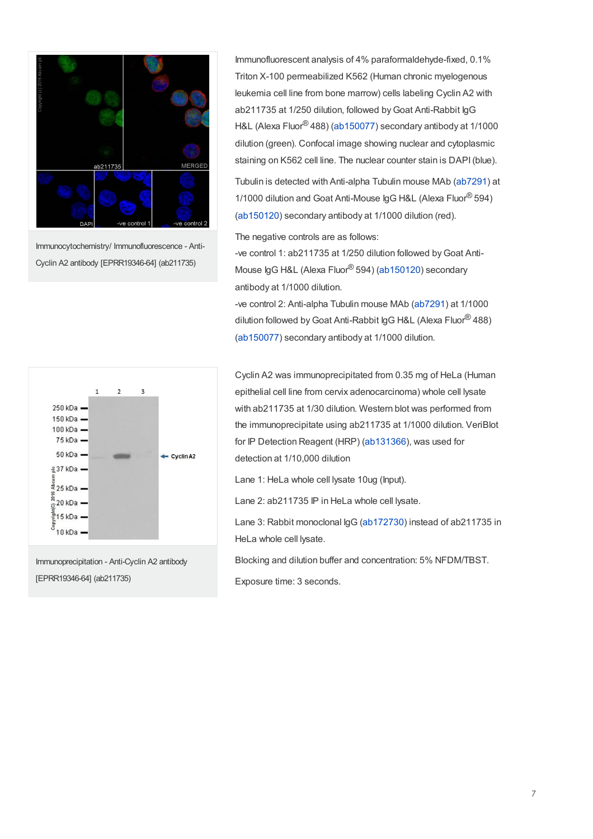

Immunocytochemistry/ Immunofluorescence - Anti-Cyclin A2 antibody [EPRR19346-64] (ab211735)

Immunofluorescent analysis of 4% paraformaldehyde-fixed, 0.1% Triton X-100 permeabilized K562 (Human chronic myelogenous leukemia cell line from bone marrow) cells labeling Cyclin A2 with ab211735 at 1/250 dilution, followed byGoat Anti-Rabbit IgG H&L (Alexa Fluor® 488) [\(ab150077](https://www.abcam.com/ab150077.html)) secondary antibody at 1/1000 dilution (green). Confocal image showing nuclear and cytoplasmic staining on K562 cell line. The nuclear counter stain is DAPI(blue).

Tubulin is detected with Anti-alpha Tubulin mouse MAb [\(ab7291](https://www.abcam.com/ab7291.html)) at 1/1000 dilution and Goat Anti-Mouse IgG H&L (Alexa Fluor® 594) ([ab150120](https://www.abcam.com/ab150120.html)) secondary antibody at 1/1000 dilution (red).

The negative controls are as follows:

-ve control 1: ab211735 at 1/250 dilution followed byGoat Anti-Mouse IgG H&L (Alexa Fluor® 594) [\(ab150120](https://www.abcam.com/ab150120.html)) secondary antibody at 1/1000 dilution.

-ve control 2: Anti-alpha Tubulin mouse MAb ([ab7291\)](https://www.abcam.com/ab7291.html) at 1/1000 dilution followed by Goat Anti-Rabbit IgG H&L (Alexa Fluor<sup>®</sup> 488) ([ab150077](https://www.abcam.com/ab150077.html)) secondary antibody at 1/1000 dilution.



Immunoprecipitation - Anti-Cyclin A2 antibody [EPRR19346-64] (ab211735)

Cyclin A2 was immunoprecipitated from 0.35 mg of HeLa (Human epithelial cell line from cervix adenocarcinoma) whole cell lysate with ab211735 at 1/30 dilution. Western blot was performed from the immunoprecipitate using ab211735 at 1/1000 dilution. VeriBlot for IP Detection Reagent (HRP) [\(ab131366](https://www.abcam.com/ab131366.html)), was used for detection at 1/10,000 dilution

Lane 1: HeLa whole cell lysate 10ug (Input).

Lane 2: ab211735 IP in HeLa whole cell lysate.

Lane 3: Rabbit monoclonal IgG [\(ab172730](https://www.abcam.com/ab172730.html)) instead of ab211735 in HeLa whole cell lysate.

Blocking and dilution buffer and concentration: 5% NFDM/TBST.

Exposure time: 3 seconds.